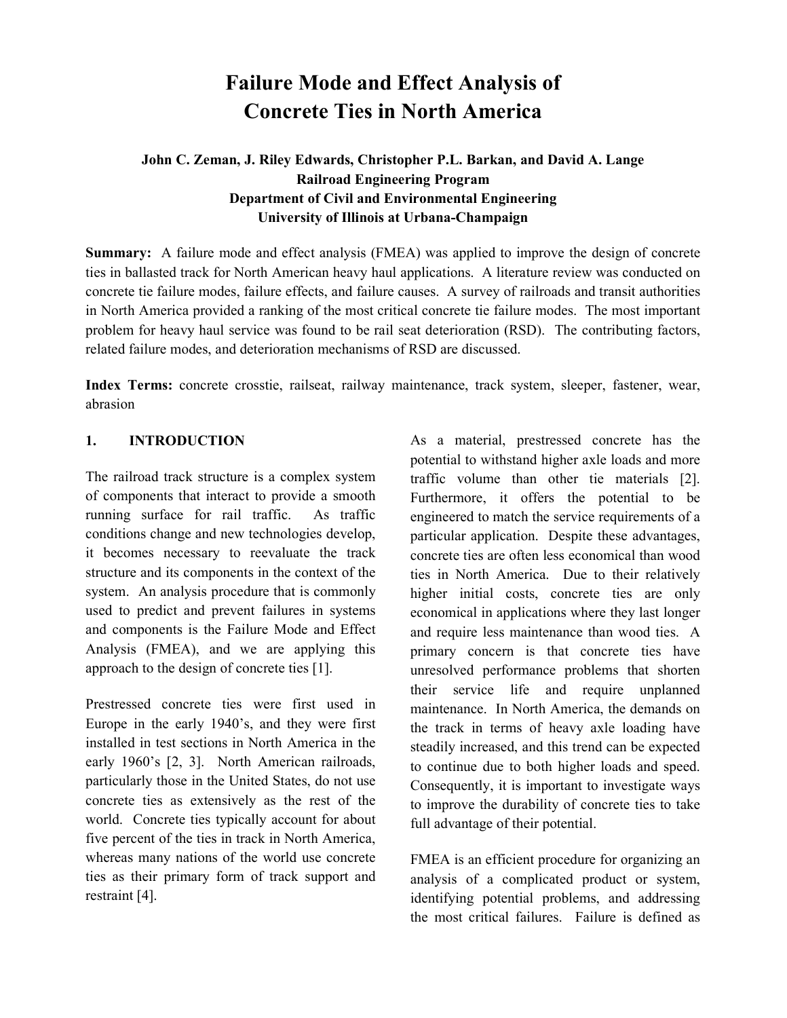# **Failure Mode and Effect Analysis of Concrete Ties in North America**

# **John C. Zeman, J. Riley Edwards, Christopher P.L. Barkan, and David A. Lange Railroad Engineering Program Department of Civil and Environmental Engineering University of Illinois at Urbana-Champaign**

**Summary:** A failure mode and effect analysis (FMEA) was applied to improve the design of concrete ties in ballasted track for North American heavy haul applications. A literature review was conducted on concrete tie failure modes, failure effects, and failure causes. A survey of railroads and transit authorities in North America provided a ranking of the most critical concrete tie failure modes. The most important problem for heavy haul service was found to be rail seat deterioration (RSD). The contributing factors, related failure modes, and deterioration mechanisms of RSD are discussed.

**Index Terms:** concrete crosstie, railseat, railway maintenance, track system, sleeper, fastener, wear, abrasion

#### 1. **INTRODUCTION**

The railroad track structure is a complex system of components that interact to provide a smooth running surface for rail traffic. As traffic conditions change and new technologies develop, it becomes necessary to reevaluate the track structure and its components in the context of the system. An analysis procedure that is commonly used to predict and prevent failures in systems and components is the Failure Mode and Effect Analysis (FMEA), and we are applying this approach to the design of concrete ties [1].

Prestressed concrete ties were first used in Europe in the early 1940's, and they were first installed in test sections in North America in the early 1960's [2, 3]. North American railroads, particularly those in the United States, do not use concrete ties as extensively as the rest of the world. Concrete ties typically account for about five percent of the ties in track in North America, whereas many nations of the world use concrete ties as their primary form of track support and restraint [4].

As a material, prestressed concrete has the potential to withstand higher axle loads and more traffic volume than other tie materials [2]. Furthermore, it offers the potential to be engineered to match the service requirements of a particular application. Despite these advantages, concrete ties are often less economical than wood ties in North America. Due to their relatively higher initial costs, concrete ties are only economical in applications where they last longer and require less maintenance than wood ties. A primary concern is that concrete ties have unresolved performance problems that shorten their service life and require unplanned maintenance. In North America, the demands on the track in terms of heavy axle loading have steadily increased, and this trend can be expected to continue due to both higher loads and speed. Consequently, it is important to investigate ways to improve the durability of concrete ties to take full advantage of their potential.

FMEA is an efficient procedure for organizing an analysis of a complicated product or system, identifying potential problems, and addressing the most critical failures. Failure is defined as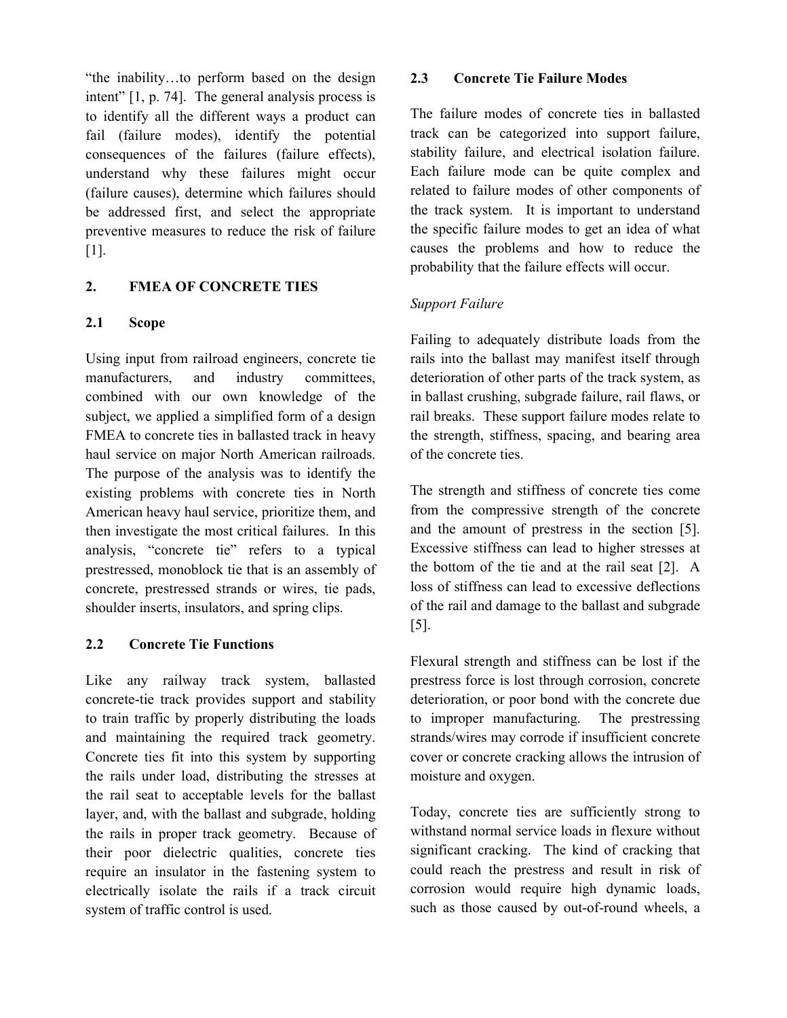"the inability…to perform based on the design intent" [1, p. 74]. The general analysis process is to identify all the different ways a product can fail (failure modes), identify the potential consequences of the failures (failure effects), understand why these failures might occur (failure causes), determine which failures should be addressed first, and select the appropriate preventive measures to reduce the risk of failure [1].

# 2. **FMEA OF CONCRETE TIES**

# **2.1 Scope**

Using input from railroad engineers, concrete tie manufacturers, and industry committees, combined with our own knowledge of the subject, we applied a simplified form of a design FMEA to concrete ties in ballasted track in heavy haul service on major North American railroads. The purpose of the analysis was to identify the existing problems with concrete ties in North American heavy haul service, prioritize them, and then investigate the most critical failures. In this analysis, "concrete tie" refers to a typical prestressed, monoblock tie that is an assembly of concrete, prestressed strands or wires, tie pads, shoulder inserts, insulators, and spring clips.

# **2.2 Concrete Tie Functions**

Like any railway track system, ballasted concrete-tie track provides support and stability to train traffic by properly distributing the loads and maintaining the required track geometry. Concrete ties fit into this system by supporting the rails under load, distributing the stresses at the rail seat to acceptable levels for the ballast layer, and, with the ballast and subgrade, holding the rails in proper track geometry. Because of their poor dielectric qualities, concrete ties require an insulator in the fastening system to electrically isolate the rails if a track circuit system of traffic control is used.

#### **2.3 Concrete Tie Failure Modes**

The failure modes of concrete ties in ballasted track can be categorized into support failure, stability failure, and electrical isolation failure. Each failure mode can be quite complex and related to failure modes of other components of the track system. It is important to understand the specific failure modes to get an idea of what causes the problems and how to reduce the probability that the failure effects will occur.

# *Support Failure*

Failing to adequately distribute loads from the rails into the ballast may manifest itself through deterioration of other parts of the track system, as in ballast crushing, subgrade failure, rail flaws, or rail breaks. These support failure modes relate to the strength, stiffness, spacing, and bearing area of the concrete ties.

The strength and stiffness of concrete ties come from the compressive strength of the concrete and the amount of prestress in the section [5]. Excessive stiffness can lead to higher stresses at the bottom of the tie and at the rail seat [2]. A loss of stiffness can lead to excessive deflections of the rail and damage to the ballast and subgrade [5].

Flexural strength and stiffness can be lost if the prestress force is lost through corrosion, concrete deterioration, or poor bond with the concrete due to improper manufacturing. The prestressing strands/wires may corrode if insufficient concrete cover or concrete cracking allows the intrusion of moisture and oxygen.

Today, concrete ties are sufficiently strong to withstand normal service loads in flexure without significant cracking. The kind of cracking that could reach the prestress and result in risk of corrosion would require high dynamic loads, such as those caused by out-of-round wheels, a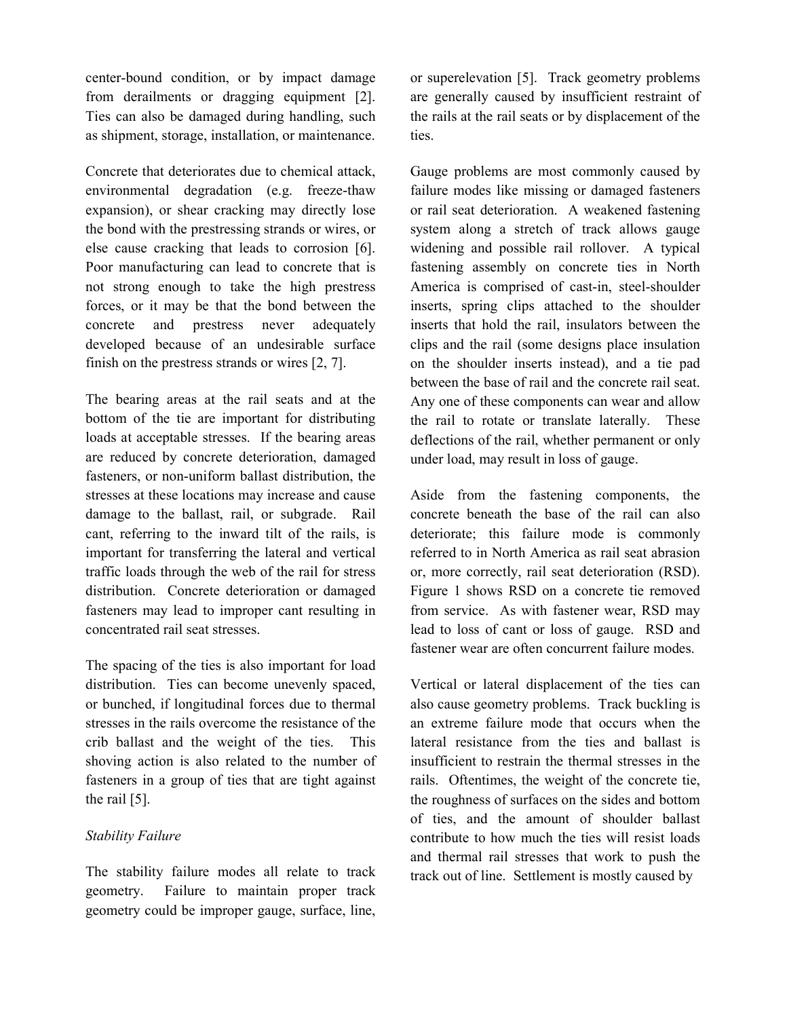center-bound condition, or by impact damage from derailments or dragging equipment [2]. Ties can also be damaged during handling, such as shipment, storage, installation, or maintenance.

Concrete that deteriorates due to chemical attack, environmental degradation (e.g. freeze-thaw expansion), or shear cracking may directly lose the bond with the prestressing strands or wires, or else cause cracking that leads to corrosion [6]. Poor manufacturing can lead to concrete that is not strong enough to take the high prestress forces, or it may be that the bond between the concrete and prestress never adequately developed because of an undesirable surface finish on the prestress strands or wires [2, 7].

The bearing areas at the rail seats and at the bottom of the tie are important for distributing loads at acceptable stresses. If the bearing areas are reduced by concrete deterioration, damaged fasteners, or non-uniform ballast distribution, the stresses at these locations may increase and cause damage to the ballast, rail, or subgrade. Rail cant, referring to the inward tilt of the rails, is important for transferring the lateral and vertical traffic loads through the web of the rail for stress distribution. Concrete deterioration or damaged fasteners may lead to improper cant resulting in concentrated rail seat stresses.

The spacing of the ties is also important for load distribution. Ties can become unevenly spaced, or bunched, if longitudinal forces due to thermal stresses in the rails overcome the resistance of the crib ballast and the weight of the ties. This shoving action is also related to the number of fasteners in a group of ties that are tight against the rail [5].

#### *Stability Failure*

The stability failure modes all relate to track geometry. Failure to maintain proper track geometry could be improper gauge, surface, line, or superelevation [5].Track geometry problems are generally caused by insufficient restraint of the rails at the rail seats or by displacement of the ties.

Gauge problems are most commonly caused by failure modes like missing or damaged fasteners or rail seat deterioration. A weakened fastening system along a stretch of track allows gauge widening and possible rail rollover. A typical fastening assembly on concrete ties in North America is comprised of cast-in, steel-shoulder inserts, spring clips attached to the shoulder inserts that hold the rail, insulators between the clips and the rail (some designs place insulation on the shoulder inserts instead), and a tie pad between the base of rail and the concrete rail seat. Any one of these components can wear and allow the rail to rotate or translate laterally. These deflections of the rail, whether permanent or only under load, may result in loss of gauge.

Aside from the fastening components, the concrete beneath the base of the rail can also deteriorate; this failure mode is commonly referred to in North America as rail seat abrasion or, more correctly, rail seat deterioration (RSD). Figure 1 shows RSD on a concrete tie removed from service. As with fastener wear, RSD may lead to loss of cant or loss of gauge. RSD and fastener wear are often concurrent failure modes.

Vertical or lateral displacement of the ties can also cause geometry problems. Track buckling is an extreme failure mode that occurs when the lateral resistance from the ties and ballast is insufficient to restrain the thermal stresses in the rails. Oftentimes, the weight of the concrete tie, the roughness of surfaces on the sides and bottom of ties, and the amount of shoulder ballast contribute to how much the ties will resist loads and thermal rail stresses that work to push the track out of line. Settlement is mostly caused by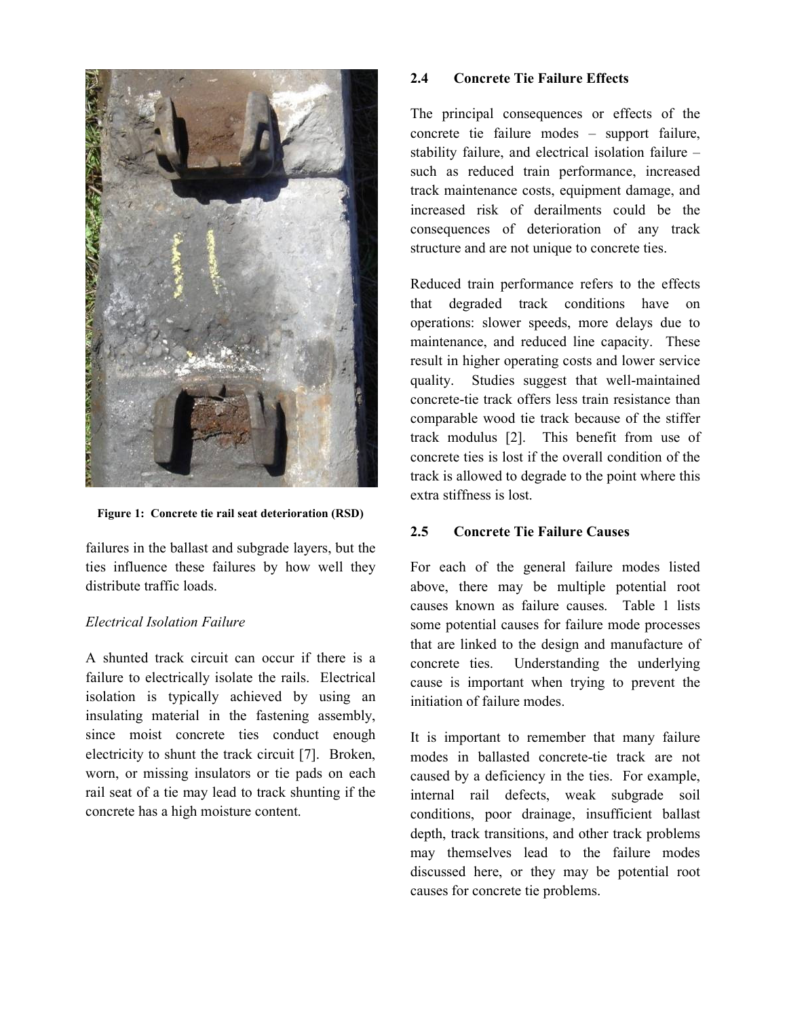

**Figure 1: Concrete tie rail seat deterioration (RSD)**

failures in the ballast and subgrade layers, but the ties influence these failures by how well they distribute traffic loads.

# *Electrical Isolation Failure*

A shunted track circuit can occur if there is a failure to electrically isolate the rails. Electrical isolation is typically achieved by using an insulating material in the fastening assembly, since moist concrete ties conduct enough electricity to shunt the track circuit [7]. Broken, worn, or missing insulators or tie pads on each rail seat of a tie may lead to track shunting if the concrete has a high moisture content.

#### **2.4 Concrete Tie Failure Effects**

The principal consequences or effects of the concrete tie failure modes – support failure, stability failure, and electrical isolation failure – such as reduced train performance, increased track maintenance costs, equipment damage, and increased risk of derailments could be the consequences of deterioration of any track structure and are not unique to concrete ties.

Reduced train performance refers to the effects that degraded track conditions have on operations: slower speeds, more delays due to maintenance, and reduced line capacity. These result in higher operating costs and lower service quality. Studies suggest that well-maintained concrete-tie track offers less train resistance than comparable wood tie track because of the stiffer track modulus [2]. This benefit from use of concrete ties is lost if the overall condition of the track is allowed to degrade to the point where this extra stiffness is lost.

# **2.5 Concrete Tie Failure Causes**

For each of the general failure modes listed above, there may be multiple potential root causes known as failure causes. Table 1 lists some potential causes for failure mode processes that are linked to the design and manufacture of concrete ties. Understanding the underlying cause is important when trying to prevent the initiation of failure modes.

It is important to remember that many failure modes in ballasted concrete-tie track are not caused by a deficiency in the ties. For example, internal rail defects, weak subgrade soil conditions, poor drainage, insufficient ballast depth, track transitions, and other track problems may themselves lead to the failure modes discussed here, or they may be potential root causes for concrete tie problems.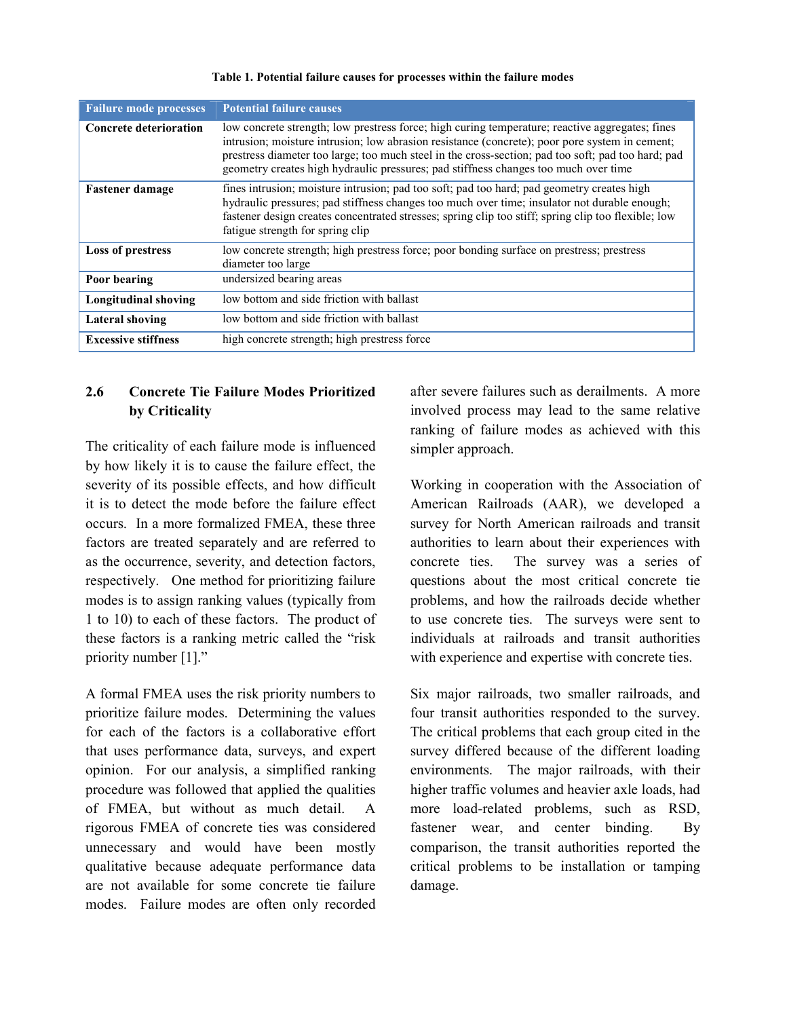| <b>Failure mode processes</b> | <b>Potential failure causes</b>                                                                                                                                                                                                                                                                                                                                                                |  |
|-------------------------------|------------------------------------------------------------------------------------------------------------------------------------------------------------------------------------------------------------------------------------------------------------------------------------------------------------------------------------------------------------------------------------------------|--|
| <b>Concrete deterioration</b> | low concrete strength; low prestress force; high curing temperature; reactive aggregates; fines<br>intrusion; moisture intrusion; low abrasion resistance (concrete); poor pore system in cement;<br>prestress diameter too large; too much steel in the cross-section; pad too soft; pad too hard; pad<br>geometry creates high hydraulic pressures; pad stiffness changes too much over time |  |
| <b>Fastener damage</b>        | fines intrusion; moisture intrusion; pad too soft; pad too hard; pad geometry creates high<br>hydraulic pressures; pad stiffness changes too much over time; insulator not durable enough;<br>fastener design creates concentrated stresses; spring clip too stiff; spring clip too flexible; low<br>fatigue strength for spring clip                                                          |  |
| Loss of prestress             | low concrete strength; high prestress force; poor bonding surface on prestress; prestress<br>diameter too large                                                                                                                                                                                                                                                                                |  |
| Poor bearing                  | undersized bearing areas                                                                                                                                                                                                                                                                                                                                                                       |  |
| <b>Longitudinal shoving</b>   | low bottom and side friction with ballast                                                                                                                                                                                                                                                                                                                                                      |  |
| <b>Lateral shoving</b>        | low bottom and side friction with ballast                                                                                                                                                                                                                                                                                                                                                      |  |
| <b>Excessive stiffness</b>    | high concrete strength; high prestress force                                                                                                                                                                                                                                                                                                                                                   |  |
|                               |                                                                                                                                                                                                                                                                                                                                                                                                |  |

#### **Table 1. Potential failure causes for processes within the failure modes**

# **2.6 Concrete Tie Failure Modes Prioritized by Criticality**

The criticality of each failure mode is influenced by how likely it is to cause the failure effect, the severity of its possible effects, and how difficult it is to detect the mode before the failure effect occurs. In a more formalized FMEA, these three factors are treated separately and are referred to as the occurrence, severity, and detection factors, respectively. One method for prioritizing failure modes is to assign ranking values (typically from 1 to 10) to each of these factors. The product of these factors is a ranking metric called the "risk priority number [1]."

A formal FMEA uses the risk priority numbers to prioritize failure modes. Determining the values for each of the factors is a collaborative effort that uses performance data, surveys, and expert opinion. For our analysis, a simplified ranking procedure was followed that applied the qualities of FMEA, but without as much detail. A rigorous FMEA of concrete ties was considered unnecessary and would have been mostly qualitative because adequate performance data are not available for some concrete tie failure modes. Failure modes are often only recorded after severe failures such as derailments. A more involved process may lead to the same relative ranking of failure modes as achieved with this simpler approach.

Working in cooperation with the Association of American Railroads (AAR), we developed a survey for North American railroads and transit authorities to learn about their experiences with concrete ties. The survey was a series of questions about the most critical concrete tie problems, and how the railroads decide whether to use concrete ties. The surveys were sent to individuals at railroads and transit authorities with experience and expertise with concrete ties.

Six major railroads, two smaller railroads, and four transit authorities responded to the survey. The critical problems that each group cited in the survey differed because of the different loading environments. The major railroads, with their higher traffic volumes and heavier axle loads, had more load-related problems, such as RSD, fastener wear, and center binding. By comparison, the transit authorities reported the critical problems to be installation or tamping damage.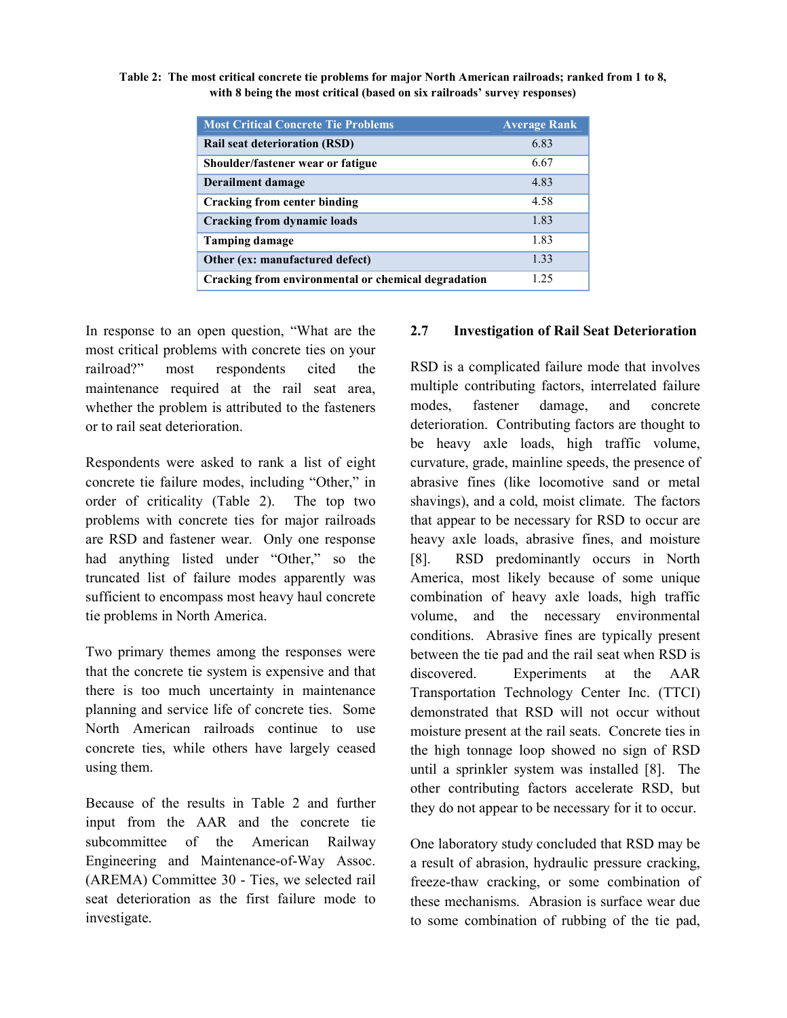| Table 2: The most critical concrete tie problems for major North American railroads; ranked from 1 to 8, |
|----------------------------------------------------------------------------------------------------------|
| with 8 being the most critical (based on six railroads' survey responses)                                |

| <b>Most Critical Concrete Tie Problems</b>          | <b>Average Rank</b> |
|-----------------------------------------------------|---------------------|
| <b>Rail seat deterioration (RSD)</b>                | 6.83                |
| Shoulder/fastener wear or fatigue                   | 6.67                |
| Derailment damage                                   | 4.83                |
| Cracking from center binding                        | 4.58                |
| <b>Cracking from dynamic loads</b>                  | 1.83                |
| <b>Tamping damage</b>                               | 1.83                |
| Other (ex: manufactured defect)                     | 1.33                |
| Cracking from environmental or chemical degradation | 1 25                |

In response to an open question, "What are the most critical problems with concrete ties on your railroad?" most respondents cited the maintenance required at the rail seat area, whether the problem is attributed to the fasteners or to rail seat deterioration.

Respondents were asked to rank a list of eight concrete tie failure modes, including "Other," in order of criticality (Table 2). The top two problems with concrete ties for major railroads are RSD and fastener wear. Only one response had anything listed under "Other," so the truncated list of failure modes apparently was sufficient to encompass most heavy haul concrete tie problems in North America.

Two primary themes among the responses were that the concrete tie system is expensive and that there is too much uncertainty in maintenance planning and service life of concrete ties. Some North American railroads continue to use concrete ties, while others have largely ceased using them.

Because of the results in Table 2 and further input from the AAR and the concrete tie subcommittee of the American Railway Engineering and Maintenance-of-Way Assoc. (AREMA) Committee 30 - Ties, we selected rail seat deterioration as the first failure mode to investigate.

#### **2.7 Investigation of Rail Seat Deterioration**

RSD is a complicated failure mode that involves multiple contributing factors, interrelated failure modes, fastener damage, and concrete deterioration. Contributing factors are thought to be heavy axle loads, high traffic volume, curvature, grade, mainline speeds, the presence of abrasive fines (like locomotive sand or metal shavings), and a cold, moist climate. The factors that appear to be necessary for RSD to occur are heavy axle loads, abrasive fines, and moisture [8]. RSD predominantly occurs in North America, most likely because of some unique combination of heavy axle loads, high traffic volume, and the necessary environmental conditions. Abrasive fines are typically present between the tie pad and the rail seat when RSD is discovered. Experiments at the AAR Transportation Technology Center Inc. (TTCI) demonstrated that RSD will not occur without moisture present at the rail seats. Concrete ties in the high tonnage loop showed no sign of RSD until a sprinkler system was installed [8]. The other contributing factors accelerate RSD, but they do not appear to be necessary for it to occur.

One laboratory study concluded that RSD may be a result of abrasion, hydraulic pressure cracking, freeze-thaw cracking, or some combination of these mechanisms. Abrasion is surface wear due to some combination of rubbing of the tie pad,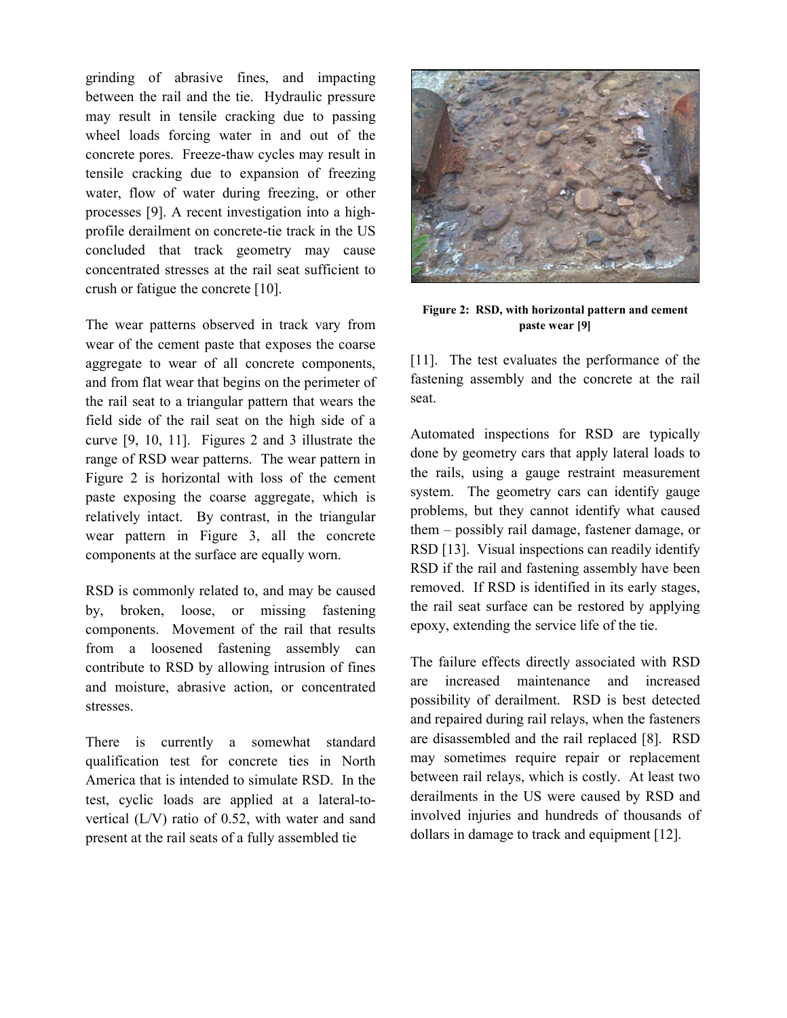grinding of abrasive fines, and impacting between the rail and the tie. Hydraulic pressure may result in tensile cracking due to passing wheel loads forcing water in and out of the concrete pores. Freeze-thaw cycles may result in tensile cracking due to expansion of freezing water, flow of water during freezing, or other processes [9]. A recent investigation into a highprofile derailment on concrete-tie track in the US concluded that track geometry may cause concentrated stresses at the rail seat sufficient to crush or fatigue the concrete [10].

The wear patterns observed in track vary from wear of the cement paste that exposes the coarse aggregate to wear of all concrete components, and from flat wear that begins on the perimeter of the rail seat to a triangular pattern that wears the field side of the rail seat on the high side of a curve [9, 10, 11]. Figures 2 and 3 illustrate the range of RSD wear patterns. The wear pattern in Figure 2 is horizontal with loss of the cement paste exposing the coarse aggregate, which is relatively intact. By contrast, in the triangular wear pattern in Figure 3, all the concrete components at the surface are equally worn.

RSD is commonly related to, and may be caused by, broken, loose, or missing fastening components. Movement of the rail that results from a loosened fastening assembly can contribute to RSD by allowing intrusion of fines and moisture, abrasive action, or concentrated stresses.

There is currently a somewhat standard qualification test for concrete ties in North America that is intended to simulate RSD. In the test, cyclic loads are applied at a lateral-tovertical (L/V) ratio of 0.52, with water and sand present at the rail seats of a fully assembled tie



**Figure 2: RSD, with horizontal pattern and cement paste wear [9]**

[11]. The test evaluates the performance of the fastening assembly and the concrete at the rail seat.

Automated inspections for RSD are typically done by geometry cars that apply lateral loads to the rails, using a gauge restraint measurement system. The geometry cars can identify gauge problems, but they cannot identify what caused them – possibly rail damage, fastener damage, or RSD [13]. Visual inspections can readily identify RSD if the rail and fastening assembly have been removed. If RSD is identified in its early stages, the rail seat surface can be restored by applying epoxy, extending the service life of the tie.

The failure effects directly associated with RSD are increased maintenance and increased possibility of derailment. RSD is best detected and repaired during rail relays, when the fasteners are disassembled and the rail replaced [8]. RSD may sometimes require repair or replacement between rail relays, which is costly. At least two derailments in the US were caused by RSD and involved injuries and hundreds of thousands of dollars in damage to track and equipment [12].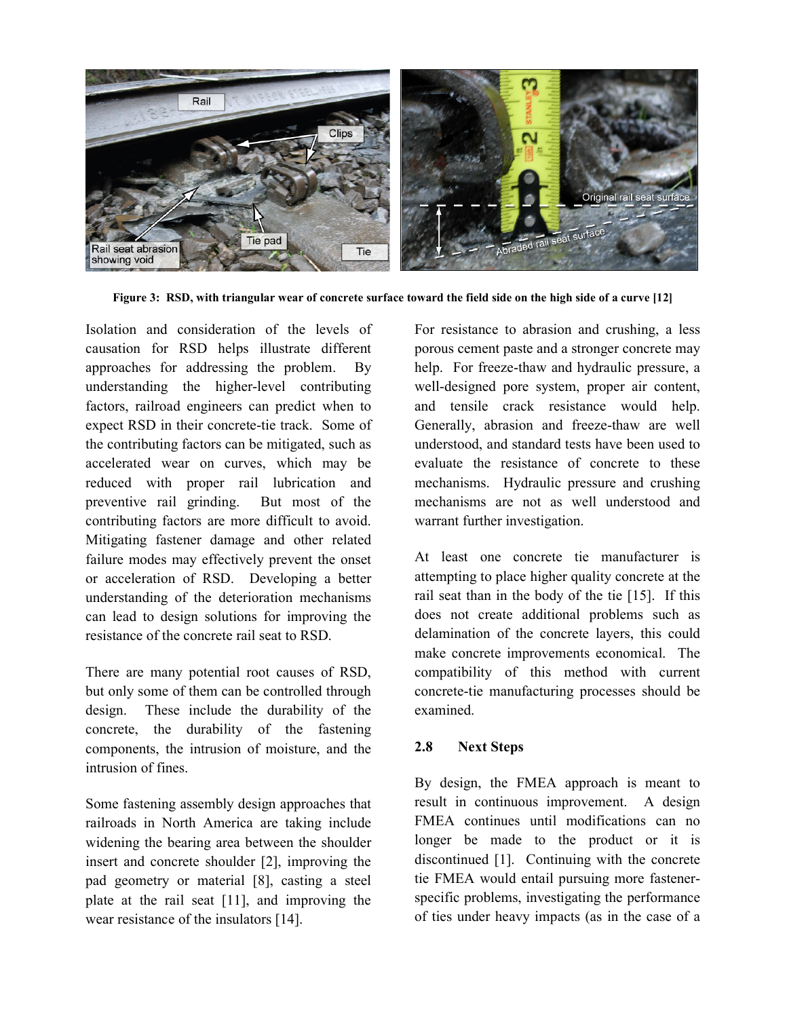

**Figure 3: RSD, with triangular wear of concrete surface toward the field side on the high side of a curve [12]** 

Isolation and consideration of the levels of causation for RSD helps illustrate different approaches for addressing the problem. By understanding the higher-level contributing factors, railroad engineers can predict when to expect RSD in their concrete-tie track. Some of the contributing factors can be mitigated, such as accelerated wear on curves, which may be reduced with proper rail lubrication and preventive rail grinding. But most of the contributing factors are more difficult to avoid. Mitigating fastener damage and other related failure modes may effectively prevent the onset or acceleration of RSD. Developing a better understanding of the deterioration mechanisms can lead to design solutions for improving the resistance of the concrete rail seat to RSD.

There are many potential root causes of RSD, but only some of them can be controlled through design. These include the durability of the concrete, the durability of the fastening components, the intrusion of moisture, and the intrusion of fines.

Some fastening assembly design approaches that railroads in North America are taking include widening the bearing area between the shoulder insert and concrete shoulder [2], improving the pad geometry or material [8], casting a steel plate at the rail seat [11], and improving the wear resistance of the insulators [14].

For resistance to abrasion and crushing, a less porous cement paste and a stronger concrete may help. For freeze-thaw and hydraulic pressure, a well-designed pore system, proper air content, and tensile crack resistance would help. Generally, abrasion and freeze-thaw are well understood, and standard tests have been used to evaluate the resistance of concrete to these mechanisms. Hydraulic pressure and crushing mechanisms are not as well understood and warrant further investigation.

At least one concrete tie manufacturer is attempting to place higher quality concrete at the rail seat than in the body of the tie [15]. If this does not create additional problems such as delamination of the concrete layers, this could make concrete improvements economical. The compatibility of this method with current concrete-tie manufacturing processes should be examined.

# **2.8** Next Steps

By design, the FMEA approach is meant to result in continuous improvement. A design FMEA continues until modifications can no longer be made to the product or it is discontinued [1]. Continuing with the concrete tie FMEA would entail pursuing more fastenerspecific problems, investigating the performance of ties under heavy impacts (as in the case of a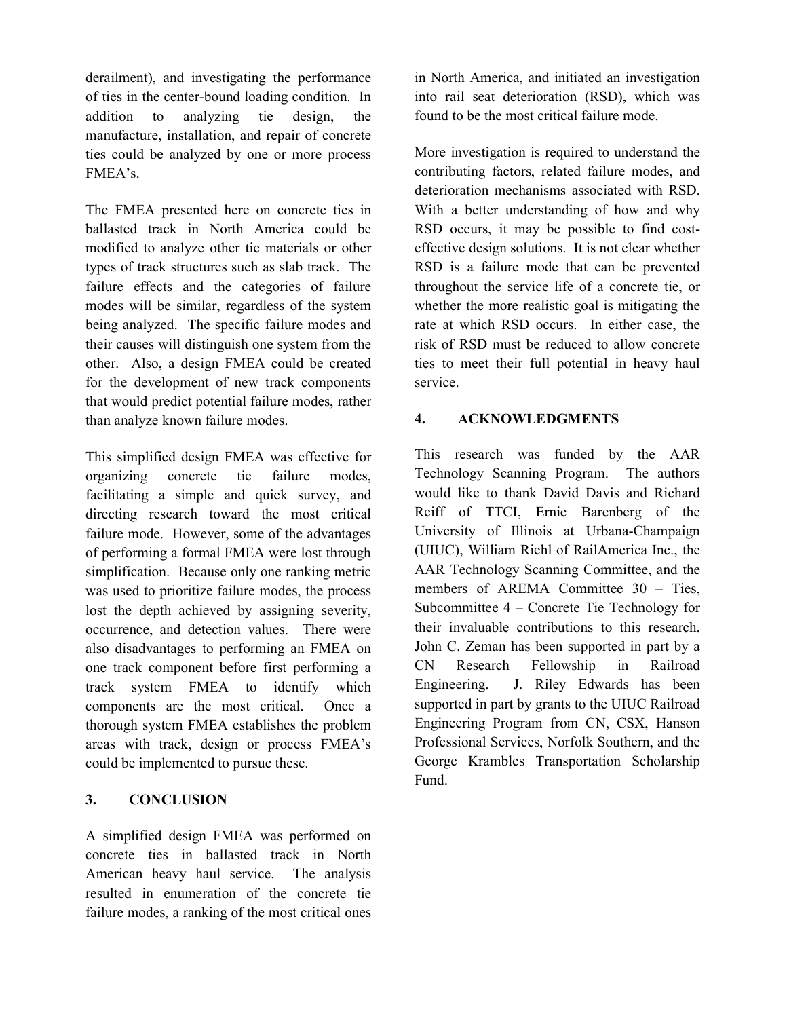derailment), and investigating the performance of ties in the center-bound loading condition. In addition to analyzing tie design, the manufacture, installation, and repair of concrete ties could be analyzed by one or more process FMEA's.

The FMEA presented here on concrete ties in ballasted track in North America could be modified to analyze other tie materials or other types of track structures such as slab track. The failure effects and the categories of failure modes will be similar, regardless of the system being analyzed. The specific failure modes and their causes will distinguish one system from the other. Also, a design FMEA could be created for the development of new track components that would predict potential failure modes, rather than analyze known failure modes.

This simplified design FMEA was effective for organizing concrete tie failure modes, facilitating a simple and quick survey, and directing research toward the most critical failure mode. However, some of the advantages of performing a formal FMEA were lost through simplification. Because only one ranking metric was used to prioritize failure modes, the process lost the depth achieved by assigning severity, occurrence, and detection values. There were also disadvantages to performing an FMEA on one track component before first performing a track system FMEA to identify which components are the most critical. Once a thorough system FMEA establishes the problem areas with track, design or process FMEA's could be implemented to pursue these.

#### 3. **CONCLUSION**

A simplified design FMEA was performed on concrete ties in ballasted track in North American heavy haul service. The analysis resulted in enumeration of the concrete tie failure modes, a ranking of the most critical ones in North America, and initiated an investigation into rail seat deterioration (RSD), which was found to be the most critical failure mode.

More investigation is required to understand the contributing factors, related failure modes, and deterioration mechanisms associated with RSD. With a better understanding of how and why RSD occurs, it may be possible to find costeffective design solutions. It is not clear whether RSD is a failure mode that can be prevented throughout the service life of a concrete tie, or whether the more realistic goal is mitigating the rate at which RSD occurs. In either case, the risk of RSD must be reduced to allow concrete ties to meet their full potential in heavy haul service.

#### **4. ACKOWLEDGMETS**

This research was funded by the AAR Technology Scanning Program. The authors would like to thank David Davis and Richard Reiff of TTCI, Ernie Barenberg of the University of Illinois at Urbana-Champaign (UIUC), William Riehl of RailAmerica Inc., the AAR Technology Scanning Committee, and the members of AREMA Committee 30 - Ties, Subcommittee 4 – Concrete Tie Technology for their invaluable contributions to this research. John C. Zeman has been supported in part by a CN Research Fellowship in Railroad Engineering. J. Riley Edwards has been supported in part by grants to the UIUC Railroad Engineering Program from CN, CSX, Hanson Professional Services, Norfolk Southern, and the George Krambles Transportation Scholarship Fund.